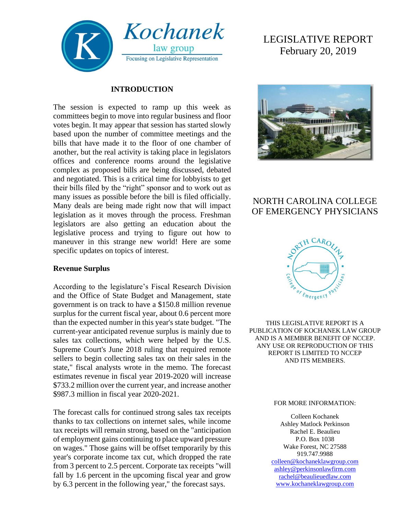

#### **INTRODUCTION**

The session is expected to ramp up this week as committees begin to move into regular business and floor votes begin. It may appear that session has started slowly based upon the number of committee meetings and the bills that have made it to the floor of one chamber of another, but the real activity is taking place in legislators offices and conference rooms around the legislative complex as proposed bills are being discussed, debated and negotiated. This is a critical time for lobbyists to get their bills filed by the "right" sponsor and to work out as many issues as possible before the bill is filed officially. Many deals are being made right now that will impact legislation as it moves through the process. Freshman legislators are also getting an education about the legislative process and trying to figure out how to maneuver in this strange new world! Here are some specific updates on topics of interest.

#### **Revenue Surplus**

According to the legislature's Fiscal Research Division and the Office of State Budget and Management, state government is on track to have a \$150.8 million revenue surplus for the current fiscal year, about 0.6 percent more than the expected number in this year's state budget. "The current-year anticipated revenue surplus is mainly due to sales tax collections, which were helped by the U.S. Supreme Court's June 2018 ruling that required remote sellers to begin collecting sales tax on their sales in the state," fiscal analysts wrote in the memo. The forecast estimates revenue in fiscal year 2019-2020 will increase \$733.2 million over the current year, and increase another \$987.3 million in fiscal year 2020-2021.

The forecast calls for continued strong sales tax receipts thanks to tax collections on internet sales, while income tax receipts will remain strong, based on the "anticipation of employment gains continuing to place upward pressure on wages." Those gains will be offset temporarily by this year's corporate income tax cut, which dropped the rate from 3 percent to 2.5 percent. Corporate tax receipts "will fall by 1.6 percent in the upcoming fiscal year and grow by 6.3 percent in the following year," the forecast says.

# LEGISLATIVE REPORT February 20, 2019



# NORTH CAROLINA COLLEGE OF EMERGENCY PHYSICIANS



THIS LEGISLATIVE REPORT IS A PUBLICATION OF KOCHANEK LAW GROUP AND IS A MEMBER BENEFIT OF NCCEP. ANY USE OR REPRODUCTION OF THIS REPORT IS LIMITED TO NCCEP AND ITS MEMBERS.

#### FOR MORE INFORMATION:

Colleen Kochanek Ashley Matlock Perkinson Rachel E. Beaulieu P.O. Box 1038 Wake Forest, NC 27588 919.747.9988 [colleen@kochaneklawgroup.com](mailto:colleen@kochaneklawgroup.com) [ashley@perkinsonlawfirm.com](mailto:ashley@perkinsonlawfirm.com) [rachel@beaulieuedlaw.com](mailto:rachel@beaulieuedlaw.com) [www.kochaneklawgroup.com](http://www.kochaneklawgroup.com/)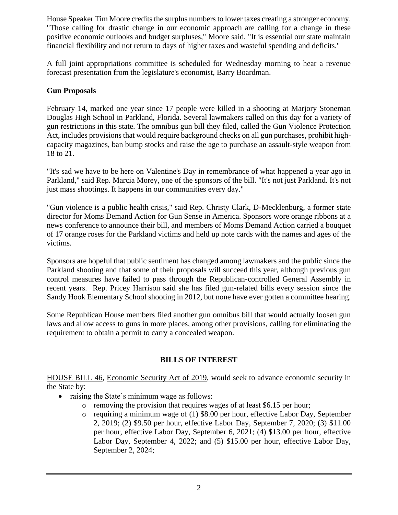House Speaker Tim Moore credits the surplus numbers to lower taxes creating a stronger economy. "Those calling for drastic change in our economic approach are calling for a change in these positive economic outlooks and budget surpluses," Moore said. "It is essential our state maintain financial flexibility and not return to days of higher taxes and wasteful spending and deficits."

A full joint appropriations committee is scheduled for Wednesday morning to hear a revenue forecast presentation from the legislature's economist, Barry Boardman.

#### **Gun Proposals**

February 14, marked one year since 17 people were killed in a shooting at Marjory Stoneman Douglas High School in Parkland, Florida. Several lawmakers called on this day for a variety of gun restrictions in this state. The omnibus gun bill they filed, called the Gun Violence Protection Act, includes provisions that would require background checks on all gun purchases, prohibit highcapacity magazines, ban bump stocks and raise the age to purchase an assault-style weapon from 18 to 21.

"It's sad we have to be here on Valentine's Day in remembrance of what happened a year ago in Parkland," said Rep. Marcia Morey, one of the sponsors of the bill. "It's not just Parkland. It's not just mass shootings. It happens in our communities every day."

"Gun violence is a public health crisis," said Rep. Christy Clark, D-Mecklenburg, a former state director for Moms Demand Action for Gun Sense in America. Sponsors wore orange ribbons at a news conference to announce their bill, and members of Moms Demand Action carried a bouquet of 17 orange roses for the Parkland victims and held up note cards with the names and ages of the victims.

Sponsors are hopeful that public sentiment has changed among lawmakers and the public since the Parkland shooting and that some of their proposals will succeed this year, although previous gun control measures have failed to pass through the Republican-controlled General Assembly in recent years. Rep. Pricey Harrison said she has filed gun-related bills every session since the Sandy Hook Elementary School shooting in 2012, but none have ever gotten a committee hearing.

Some Republican House members filed another gun omnibus bill that would actually loosen gun laws and allow access to guns in more places, among other provisions, calling for eliminating the requirement to obtain a permit to carry a concealed weapon.

# **BILLS OF INTEREST**

HOUSE BILL 46, Economic Security Act of 2019, would seek to advance economic security in the State by:

- raising the State's minimum wage as follows:
	- o removing the provision that requires wages of at least \$6.15 per hour;
	- $\circ$  requiring a minimum wage of (1) \$8.00 per hour, effective Labor Day, September 2, 2019; (2) \$9.50 per hour, effective Labor Day, September 7, 2020; (3) \$11.00 per hour, effective Labor Day, September 6, 2021; (4) \$13.00 per hour, effective Labor Day, September 4, 2022; and (5) \$15.00 per hour, effective Labor Day, September 2, 2024;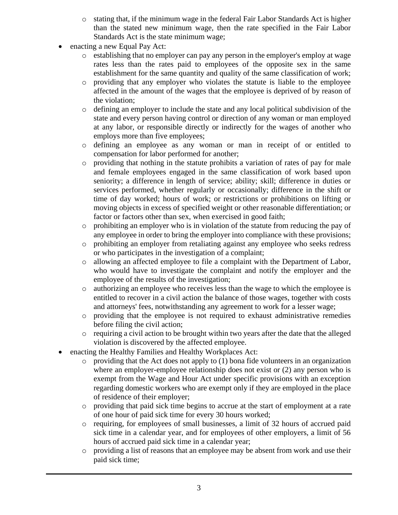- o stating that, if the minimum wage in the federal Fair Labor Standards Act is higher than the stated new minimum wage, then the rate specified in the Fair Labor Standards Act is the state minimum wage;
- enacting a new Equal Pay Act:
	- o establishing that no employer can pay any person in the employer's employ at wage rates less than the rates paid to employees of the opposite sex in the same establishment for the same quantity and quality of the same classification of work;
	- o providing that any employer who violates the statute is liable to the employee affected in the amount of the wages that the employee is deprived of by reason of the violation;
	- o defining an employer to include the state and any local political subdivision of the state and every person having control or direction of any woman or man employed at any labor, or responsible directly or indirectly for the wages of another who employs more than five employees;
	- o defining an employee as any woman or man in receipt of or entitled to compensation for labor performed for another;
	- o providing that nothing in the statute prohibits a variation of rates of pay for male and female employees engaged in the same classification of work based upon seniority; a difference in length of service; ability; skill; difference in duties or services performed, whether regularly or occasionally; difference in the shift or time of day worked; hours of work; or restrictions or prohibitions on lifting or moving objects in excess of specified weight or other reasonable differentiation; or factor or factors other than sex, when exercised in good faith;
	- $\circ$  prohibiting an employer who is in violation of the statute from reducing the pay of any employee in order to bring the employer into compliance with these provisions;
	- o prohibiting an employer from retaliating against any employee who seeks redress or who participates in the investigation of a complaint;
	- o allowing an affected employee to file a complaint with the Department of Labor, who would have to investigate the complaint and notify the employer and the employee of the results of the investigation;
	- o authorizing an employee who receives less than the wage to which the employee is entitled to recover in a civil action the balance of those wages, together with costs and attorneys' fees, notwithstanding any agreement to work for a lesser wage;
	- o providing that the employee is not required to exhaust administrative remedies before filing the civil action;
	- $\circ$  requiring a civil action to be brought within two years after the date that the alleged violation is discovered by the affected employee.
- enacting the Healthy Families and Healthy Workplaces Act:
	- o providing that the Act does not apply to (1) bona fide volunteers in an organization where an employer-employee relationship does not exist or  $(2)$  any person who is exempt from the Wage and Hour Act under specific provisions with an exception regarding domestic workers who are exempt only if they are employed in the place of residence of their employer;
	- o providing that paid sick time begins to accrue at the start of employment at a rate of one hour of paid sick time for every 30 hours worked;
	- o requiring, for employees of small businesses, a limit of 32 hours of accrued paid sick time in a calendar year, and for employees of other employers, a limit of 56 hours of accrued paid sick time in a calendar year;
	- o providing a list of reasons that an employee may be absent from work and use their paid sick time;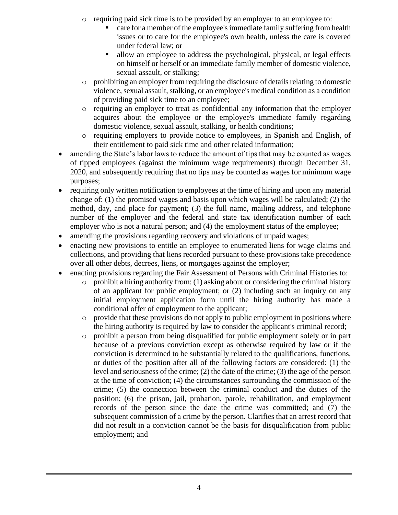- $\circ$  requiring paid sick time is to be provided by an employer to an employee to:
	- care for a member of the employee's immediate family suffering from health issues or to care for the employee's own health, unless the care is covered under federal law; or
	- allow an employee to address the psychological, physical, or legal effects on himself or herself or an immediate family member of domestic violence, sexual assault, or stalking;
- $\circ$  prohibiting an employer from requiring the disclosure of details relating to domestic violence, sexual assault, stalking, or an employee's medical condition as a condition of providing paid sick time to an employee;
- o requiring an employer to treat as confidential any information that the employer acquires about the employee or the employee's immediate family regarding domestic violence, sexual assault, stalking, or health conditions;
- o requiring employers to provide notice to employees, in Spanish and English, of their entitlement to paid sick time and other related information;
- amending the State's labor laws to reduce the amount of tips that may be counted as wages of tipped employees (against the minimum wage requirements) through December 31, 2020, and subsequently requiring that no tips may be counted as wages for minimum wage purposes;
- requiring only written notification to employees at the time of hiring and upon any material change of: (1) the promised wages and basis upon which wages will be calculated; (2) the method, day, and place for payment; (3) the full name, mailing address, and telephone number of the employer and the federal and state tax identification number of each employer who is not a natural person; and (4) the employment status of the employee;
- amending the provisions regarding recovery and violations of unpaid wages;
- enacting new provisions to entitle an employee to enumerated liens for wage claims and collections, and providing that liens recorded pursuant to these provisions take precedence over all other debts, decrees, liens, or mortgages against the employer;
- enacting provisions regarding the Fair Assessment of Persons with Criminal Histories to:
	- o prohibit a hiring authority from: (1) asking about or considering the criminal history of an applicant for public employment; or (2) including such an inquiry on any initial employment application form until the hiring authority has made a conditional offer of employment to the applicant;
	- $\circ$  provide that these provisions do not apply to public employment in positions where the hiring authority is required by law to consider the applicant's criminal record;
	- o prohibit a person from being disqualified for public employment solely or in part because of a previous conviction except as otherwise required by law or if the conviction is determined to be substantially related to the qualifications, functions, or duties of the position after all of the following factors are considered: (1) the level and seriousness of the crime; (2) the date of the crime; (3) the age of the person at the time of conviction; (4) the circumstances surrounding the commission of the crime; (5) the connection between the criminal conduct and the duties of the position; (6) the prison, jail, probation, parole, rehabilitation, and employment records of the person since the date the crime was committed; and (7) the subsequent commission of a crime by the person. Clarifies that an arrest record that did not result in a conviction cannot be the basis for disqualification from public employment; and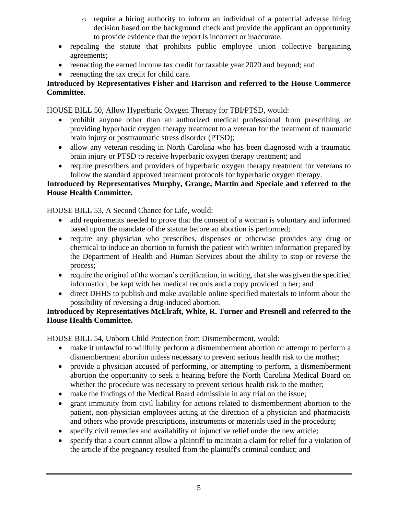- $\circ$  require a hiring authority to inform an individual of a potential adverse hiring decision based on the background check and provide the applicant an opportunity to provide evidence that the report is incorrect or inaccurate.
- repealing the statute that prohibits public employee union collective bargaining agreements;
- reenacting the earned income tax credit for taxable year 2020 and beyond; and
- reenacting the tax credit for child care.

#### **Introduced by Representatives Fisher and Harrison and referred to the House Commerce Committee.**

HOUSE BILL 50, Allow Hyperbaric Oxygen Therapy for TBI/PTSD, would:

- prohibit anyone other than an authorized medical professional from prescribing or providing hyperbaric oxygen therapy treatment to a veteran for the treatment of traumatic brain injury or posttraumatic stress disorder (PTSD);
- allow any veteran residing in North Carolina who has been diagnosed with a traumatic brain injury or PTSD to receive hyperbaric oxygen therapy treatment; and
- require prescribers and providers of hyperbaric oxygen therapy treatment for veterans to follow the standard approved treatment protocols for hyperbaric oxygen therapy.

#### **Introduced by Representatives Murphy, Grange, Martin and Speciale and referred to the House Health Committee.**

HOUSE BILL 53, A Second Chance for Life, would:

- add requirements needed to prove that the consent of a woman is voluntary and informed based upon the mandate of the statute before an abortion is performed;
- require any physician who prescribes, dispenses or otherwise provides any drug or chemical to induce an abortion to furnish the patient with written information prepared by the Department of Health and Human Services about the ability to stop or reverse the process;
- require the original of the woman's certification, in writing, that she was given the specified information, be kept with her medical records and a copy provided to her; and
- direct DHHS to publish and make available online specified materials to inform about the possibility of reversing a drug-induced abortion.

#### **Introduced by Representatives McElraft, White, R. Turner and Presnell and referred to the House Health Committee.**

HOUSE BILL 54, Unborn Child Protection from Dismemberment, would:

- make it unlawful to willfully perform a dismemberment abortion or attempt to perform a dismemberment abortion unless necessary to prevent serious health risk to the mother;
- provide a physician accused of performing, or attempting to perform, a dismemberment abortion the opportunity to seek a hearing before the North Carolina Medical Board on whether the procedure was necessary to prevent serious health risk to the mother;
- make the findings of the Medical Board admissible in any trial on the issue;
- grant immunity from civil liability for actions related to dismemberment abortion to the patient, non-physician employees acting at the direction of a physician and pharmacists and others who provide prescriptions, instruments or materials used in the procedure;
- specify civil remedies and availability of injunctive relief under the new article;
- specify that a court cannot allow a plaintiff to maintain a claim for relief for a violation of the article if the pregnancy resulted from the plaintiff's criminal conduct; and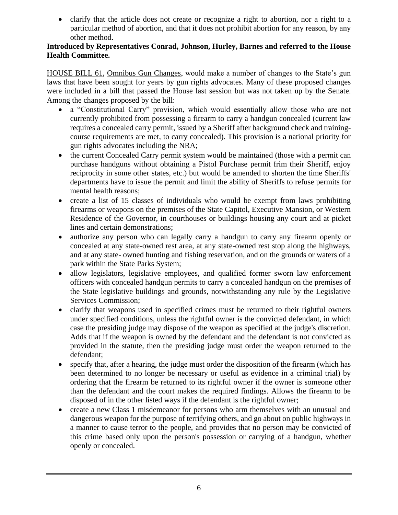• clarify that the article does not create or recognize a right to abortion, nor a right to a particular method of abortion, and that it does not prohibit abortion for any reason, by any other method.

#### **Introduced by Representatives Conrad, Johnson, Hurley, Barnes and referred to the House Health Committee.**

HOUSE BILL 61, Omnibus Gun Changes, would make a number of changes to the State's gun laws that have been sought for years by gun rights advocates. Many of these proposed changes were included in a bill that passed the House last session but was not taken up by the Senate. Among the changes proposed by the bill:

- a "Constitutional Carry" provision, which would essentially allow those who are not currently prohibited from possessing a firearm to carry a handgun concealed (current law requires a concealed carry permit, issued by a Sheriff after background check and trainingcourse requirements are met, to carry concealed). This provision is a national priority for gun rights advocates including the NRA;
- the current Concealed Carry permit system would be maintained (those with a permit can purchase handguns without obtaining a Pistol Purchase permit frim their Sheriff, enjoy reciprocity in some other states, etc.) but would be amended to shorten the time Sheriffs' departments have to issue the permit and limit the ability of Sheriffs to refuse permits for mental health reasons;
- create a list of 15 classes of individuals who would be exempt from laws prohibiting firearms or weapons on the premises of the State Capitol, Executive Mansion, or Western Residence of the Governor, in courthouses or buildings housing any court and at picket lines and certain demonstrations;
- authorize any person who can legally carry a handgun to carry any firearm openly or concealed at any state-owned rest area, at any state-owned rest stop along the highways, and at any state- owned hunting and fishing reservation, and on the grounds or waters of a park within the State Parks System;
- allow legislators, legislative employees, and qualified former sworn law enforcement officers with concealed handgun permits to carry a concealed handgun on the premises of the State legislative buildings and grounds, notwithstanding any rule by the Legislative Services Commission;
- clarify that weapons used in specified crimes must be returned to their rightful owners under specified conditions, unless the rightful owner is the convicted defendant, in which case the presiding judge may dispose of the weapon as specified at the judge's discretion. Adds that if the weapon is owned by the defendant and the defendant is not convicted as provided in the statute, then the presiding judge must order the weapon returned to the defendant;
- specify that, after a hearing, the judge must order the disposition of the firearm (which has been determined to no longer be necessary or useful as evidence in a criminal trial) by ordering that the firearm be returned to its rightful owner if the owner is someone other than the defendant and the court makes the required findings. Allows the firearm to be disposed of in the other listed ways if the defendant is the rightful owner;
- create a new Class 1 misdemeanor for persons who arm themselves with an unusual and dangerous weapon for the purpose of terrifying others, and go about on public highways in a manner to cause terror to the people, and provides that no person may be convicted of this crime based only upon the person's possession or carrying of a handgun, whether openly or concealed.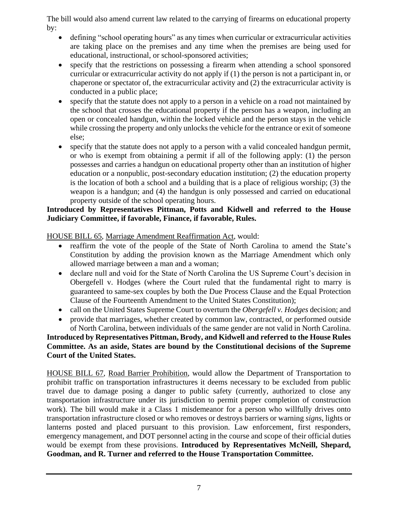The bill would also amend current law related to the carrying of firearms on educational property by:

- defining "school operating hours" as any times when curricular or extracurricular activities are taking place on the premises and any time when the premises are being used for educational, instructional, or school-sponsored activities;
- specify that the restrictions on possessing a firearm when attending a school sponsored curricular or extracurricular activity do not apply if (1) the person is not a participant in, or chaperone or spectator of, the extracurricular activity and (2) the extracurricular activity is conducted in a public place;
- specify that the statute does not apply to a person in a vehicle on a road not maintained by the school that crosses the educational property if the person has a weapon, including an open or concealed handgun, within the locked vehicle and the person stays in the vehicle while crossing the property and only unlocks the vehicle for the entrance or exit of someone else;
- specify that the statute does not apply to a person with a valid concealed handgun permit, or who is exempt from obtaining a permit if all of the following apply: (1) the person possesses and carries a handgun on educational property other than an institution of higher education or a nonpublic, post-secondary education institution; (2) the education property is the location of both a school and a building that is a place of religious worship; (3) the weapon is a handgun; and (4) the handgun is only possessed and carried on educational property outside of the school operating hours.

#### **Introduced by Representatives Pittman, Potts and Kidwell and referred to the House Judiciary Committee, if favorable, Finance, if favorable, Rules.**

HOUSE BILL 65, Marriage Amendment Reaffirmation Act, would:

- reaffirm the vote of the people of the State of North Carolina to amend the State's Constitution by adding the provision known as the Marriage Amendment which only allowed marriage between a man and a woman;
- declare null and void for the State of North Carolina the US Supreme Court's decision in Obergefell v. Hodges (where the [Court](https://en.wikipedia.org/wiki/Supreme_Court_of_the_United_States) ruled that the [fundamental right](https://en.wikipedia.org/wiki/Fundamental_rights_in_the_United_States) to [marry](https://en.wikipedia.org/wiki/Marriage) is guaranteed to [same-sex couples](https://en.wikipedia.org/wiki/Same-sex_couplessexcouples) by both the [Due Process Clause](https://en.wikipedia.org/wiki/Due_Process_Clause) and the [Equal Protection](https://en.wikipedia.org/wiki/Equal_Protection_Clause)  [Clause](https://en.wikipedia.org/wiki/Equal_Protection_Clause) of the [Fourteenth Amendment to the United States Constitution\)](https://en.wikipedia.org/wiki/Fourteenth_Amendment_to_the_United_States_Constitution);
- call on the United States Supreme Court to overturn the *Obergefell v. Hodges* decision; and
- provide that marriages, whether created by common law, contracted, or performed outside of North Carolina, between individuals of the same gender are not valid in North Carolina.

# **Introduced by Representatives Pittman, Brody, and Kidwell and referred to the House Rules Committee. As an aside, States are bound by the Constitutional decisions of the Supreme Court of the United States.**

HOUSE BILL 67, Road Barrier Prohibition, would allow the Department of Transportation to prohibit traffic on transportation infrastructures it deems necessary to be excluded from public travel due to damage posing a danger to public safety (currently, authorized to close any transportation infrastructure under its jurisdiction to permit proper completion of construction work). The bill would make it a Class 1 misdemeanor for a person who willfully drives onto transportation infrastructure closed or who removes or destroys barriers or warning *signs*, lights or lanterns posted and placed pursuant to this provision. Law enforcement, first responders, emergency management, and DOT personnel acting in the course and scope of their official duties would be exempt from these provisions. **Introduced by Representatives McNeill, Shepard, Goodman, and R. Turner and referred to the House Transportation Committee.**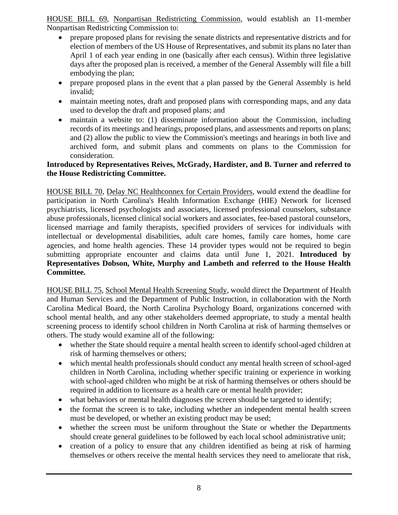HOUSE BILL 69, Nonpartisan Redistricting Commission, would establish an 11-member Nonpartisan Redistricting Commission to:

- prepare proposed plans for revising the senate districts and representative districts and for election of members of the US House of Representatives, and submit its plans no later than April 1 of each year ending in one (basically after each census). Within three legislative days after the proposed plan is received, a member of the General Assembly will file a bill embodying the plan;
- prepare proposed plans in the event that a plan passed by the General Assembly is held invalid;
- maintain meeting notes, draft and proposed plans with corresponding maps, and any data used to develop the draft and proposed plans; and
- maintain a website to: (1) disseminate information about the Commission, including records of its meetings and hearings, proposed plans, and assessments and reports on plans; and (2) allow the public to view the Commission's meetings and hearings in both live and archived form, and submit plans and comments on plans to the Commission for consideration.

#### **Introduced by Representatives Reives, McGrady, Hardister, and B. Turner and referred to the House Redistricting Committee.**

HOUSE BILL 70, Delay NC Healthconnex for Certain Providers, would extend the deadline for participation in North Carolina's Health Information Exchange (HIE) Network for licensed psychiatrists, licensed psychologists and associates, licensed professional counselors, substance abuse professionals, licensed clinical social workers and associates, fee-based pastoral counselors, licensed marriage and family therapists, specified providers of services for individuals with intellectual or developmental disabilities, adult care homes, family care homes, home care agencies, and home health agencies. These 14 provider types would not be required to begin submitting appropriate encounter and claims data until June 1, 2021. **Introduced by Representatives Dobson, White, Murphy and Lambeth and referred to the House Health Committee.**

HOUSE BILL 75, School Mental Health Screening Study, would direct the Department of Health and Human Services and the Department of Public Instruction, in collaboration with the North Carolina Medical Board, the North Carolina Psychology Board, organizations concerned with school mental health, and any other stakeholders deemed appropriate, to study a mental health screening process to identify school children in North Carolina at risk of harming themselves or others. The study would examine all of the following:

- whether the State should require a mental health screen to identify school-aged children at risk of harming themselves or others;
- which mental health professionals should conduct any mental health screen of school-aged children in North Carolina, including whether specific training or experience in working with school-aged children who might be at risk of harming themselves or others should be required in addition to licensure as a health care or mental health provider;
- what behaviors or mental health diagnoses the screen should be targeted to identify;
- the format the screen is to take, including whether an independent mental health screen must be developed, or whether an existing product may be used;
- whether the screen must be uniform throughout the State or whether the Departments should create general guidelines to be followed by each local school administrative unit;
- creation of a policy to ensure that any children identified as being at risk of harming themselves or others receive the mental health services they need to ameliorate that risk,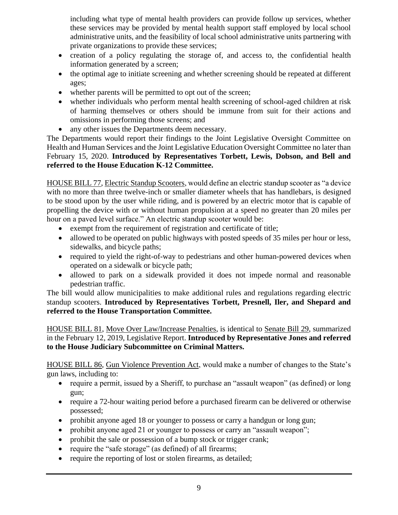including what type of mental health providers can provide follow up services, whether these services may be provided by mental health support staff employed by local school administrative units, and the feasibility of local school administrative units partnering with private organizations to provide these services;

- creation of a policy regulating the storage of, and access to, the confidential health information generated by a screen;
- the optimal age to initiate screening and whether screening should be repeated at different ages;
- whether parents will be permitted to opt out of the screen;
- whether individuals who perform mental health screening of school-aged children at risk of harming themselves or others should be immune from suit for their actions and omissions in performing those screens; and
- any other issues the Departments deem necessary.

The Departments would report their findings to the Joint Legislative Oversight Committee on Health and Human Services and the Joint Legislative Education Oversight Committee no later than February 15, 2020. **Introduced by Representatives Torbett, Lewis, Dobson, and Bell and referred to the House Education K-12 Committee.**

HOUSE BILL 77, Electric Standup Scooters, would define an electric standup scooter as "a device with no more than three twelve-inch or smaller diameter wheels that has handlebars, is designed to be stood upon by the user while riding, and is powered by an electric motor that is capable of propelling the device with or without human propulsion at a speed no greater than 20 miles per hour on a paved level surface." An electric standup scooter would be:

- exempt from the requirement of registration and certificate of title;
- allowed to be operated on public highways with posted speeds of 35 miles per hour or less, sidewalks, and bicycle paths;
- required to yield the right-of-way to pedestrians and other human-powered devices when operated on a sidewalk or bicycle path;
- allowed to park on a sidewalk provided it does not impede normal and reasonable pedestrian traffic.

The bill would allow municipalities to make additional rules and regulations regarding electric standup scooters. **Introduced by Representatives Torbett, Presnell, Iler, and Shepard and referred to the House Transportation Committee.**

HOUSE BILL 81, Move Over Law/Increase Penalties, is identical to Senate Bill 29, summarized in the February 12, 2019, Legislative Report. **Introduced by Representative Jones and referred to the House Judiciary Subcommittee on Criminal Matters.**

HOUSE BILL 86, Gun Violence Prevention Act, would make a number of changes to the State's gun laws, including to:

- require a permit, issued by a Sheriff, to purchase an "assault weapon" (as defined) or long gun;
- require a 72-hour waiting period before a purchased firearm can be delivered or otherwise possessed;
- prohibit anyone aged 18 or younger to possess or carry a handgun or long gun;
- prohibit anyone aged 21 or younger to possess or carry an "assault weapon";
- prohibit the sale or possession of a bump stock or trigger crank;
- require the "safe storage" (as defined) of all firearms;
- require the reporting of lost or stolen firearms, as detailed;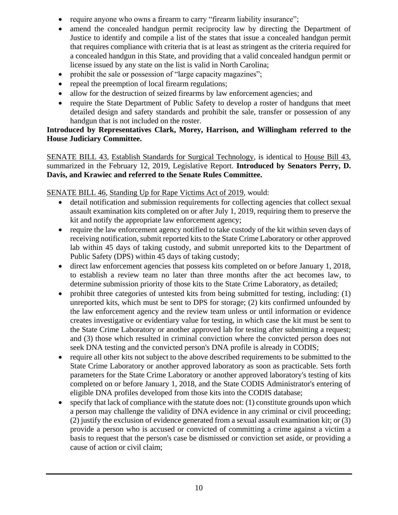- require anyone who owns a firearm to carry "firearm liability insurance";
- amend the concealed handgun permit reciprocity law by directing the Department of Justice to identify and compile a list of the states that issue a concealed handgun permit that requires compliance with criteria that is at least as stringent as the criteria required for a concealed handgun in this State, and providing that a valid concealed handgun permit or license issued by any state on the list is valid in North Carolina;
- prohibit the sale or possession of "large capacity magazines";
- repeal the preemption of local firearm regulations;
- allow for the destruction of seized firearms by law enforcement agencies; and
- require the State Department of Public Safety to develop a roster of handguns that meet detailed design and safety standards and prohibit the sale, transfer or possession of any handgun that is not included on the roster.

#### **Introduced by Representatives Clark, Morey, Harrison, and Willingham referred to the House Judiciary Committee.**

SENATE BILL 43, Establish Standards for Surgical Technology, is identical to House Bill 43, summarized in the February 12, 2019, Legislative Report. **Introduced by Senators Perry, D. Davis, and Krawiec and referred to the Senate Rules Committee.**

# SENATE BILL 46, Standing Up for Rape Victims Act of 2019, would:

- detail notification and submission requirements for collecting agencies that collect sexual assault examination kits completed on or after July 1, 2019, requiring them to preserve the kit and notify the appropriate law enforcement agency;
- require the law enforcement agency notified to take custody of the kit within seven days of receiving notification, submit reported kits to the State Crime Laboratory or other approved lab within 45 days of taking custody, and submit unreported kits to the Department of Public Safety (DPS) within 45 days of taking custody;
- direct law enforcement agencies that possess kits completed on or before January 1, 2018, to establish a review team no later than three months after the act becomes law, to determine submission priority of those kits to the State Crime Laboratory, as detailed;
- prohibit three categories of untested kits from being submitted for testing, including: (1) unreported kits, which must be sent to DPS for storage; (2) kits confirmed unfounded by the law enforcement agency and the review team unless or until information or evidence creates investigative or evidentiary value for testing, in which case the kit must be sent to the State Crime Laboratory or another approved lab for testing after submitting a request; and (3) those which resulted in criminal conviction where the convicted person does not seek DNA testing and the convicted person's DNA profile is already in CODIS;
- require all other kits not subject to the above described requirements to be submitted to the State Crime Laboratory or another approved laboratory as soon as practicable. Sets forth parameters for the State Crime Laboratory or another approved laboratory's testing of kits completed on or before January 1, 2018, and the State CODIS Administrator's entering of eligible DNA profiles developed from those kits into the CODIS database;
- specify that lack of compliance with the statute does not: (1) constitute grounds upon which a person may challenge the validity of DNA evidence in any criminal or civil proceeding; (2) justify the exclusion of evidence generated from a sexual assault examination kit; or (3) provide a person who is accused or convicted of committing a crime against a victim a basis to request that the person's case be dismissed or conviction set aside, or providing a cause of action or civil claim;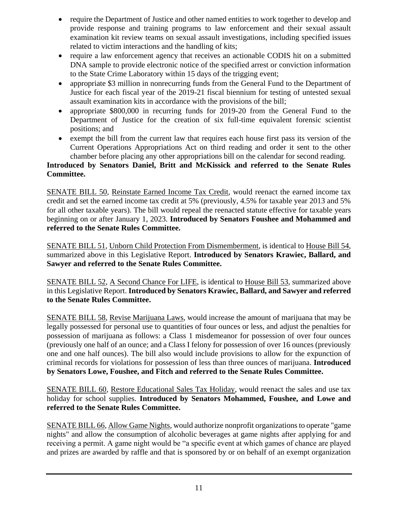- require the Department of Justice and other named entities to work together to develop and provide response and training programs to law enforcement and their sexual assault examination kit review teams on sexual assault investigations, including specified issues related to victim interactions and the handling of kits;
- require a law enforcement agency that receives an actionable CODIS hit on a submitted DNA sample to provide electronic notice of the specified arrest or conviction information to the State Crime Laboratory within 15 days of the trigging event;
- appropriate \$3 million in nonrecurring funds from the General Fund to the Department of Justice for each fiscal year of the 2019-21 fiscal biennium for testing of untested sexual assault examination kits in accordance with the provisions of the bill;
- appropriate \$800,000 in recurring funds for 2019-20 from the General Fund to the Department of Justice for the creation of six full-time equivalent forensic scientist positions; and
- exempt the bill from the current law that requires each house first pass its version of the Current Operations Appropriations Act on third reading and order it sent to the other chamber before placing any other appropriations bill on the calendar for second reading.

#### **Introduced by Senators Daniel, Britt and McKissick and referred to the Senate Rules Committee.**

SENATE BILL 50, Reinstate Earned Income Tax Credit, would reenact the earned income tax credit and set the earned income tax credit at 5% (previously, 4.5% for taxable year 2013 and 5% for all other taxable years). The bill would repeal the reenacted statute effective for taxable years beginning on or after January 1, 2023. **Introduced by Senators Foushee and Mohammed and referred to the Senate Rules Committee.**

SENATE BILL 51, Unborn Child Protection From Dismemberment, is identical to House Bill 54, summarized above in this Legislative Report. **Introduced by Senators Krawiec, Ballard, and Sawyer and referred to the Senate Rules Committee.**

SENATE BILL 52, A Second Chance For LIFE, is identical to House Bill 53, summarized above in this Legislative Report. **Introduced by Senators Krawiec, Ballard, and Sawyer and referred to the Senate Rules Committee.**

SENATE BILL 58, Revise Marijuana Laws, would increase the amount of marijuana that may be legally possessed for personal use to quantities of four ounces or less, and adjust the penalties for possession of marijuana as follows: a Class 1 misdemeanor for possession of over four ounces (previously one half of an ounce; and a Class I felony for possession of over 16 ounces (previously one and one half ounces). The bill also would include provisions to allow for the expunction of criminal records for violations for possession of less than three ounces of marijuana. **Introduced by Senators Lowe, Foushee, and Fitch and referred to the Senate Rules Committee.**

SENATE BILL 60, Restore Educational Sales Tax Holiday, would reenact the sales and use tax holiday for school supplies. **Introduced by Senators Mohammed, Foushee, and Lowe and referred to the Senate Rules Committee.**

SENATE BILL 66, Allow Game Nights, would authorize nonprofit organizations to operate "game nights" and allow the consumption of alcoholic beverages at game nights after applying for and receiving a permit. A game night would be "a specific event at which games of chance are played and prizes are awarded by raffle and that is sponsored by or on behalf of an exempt organization